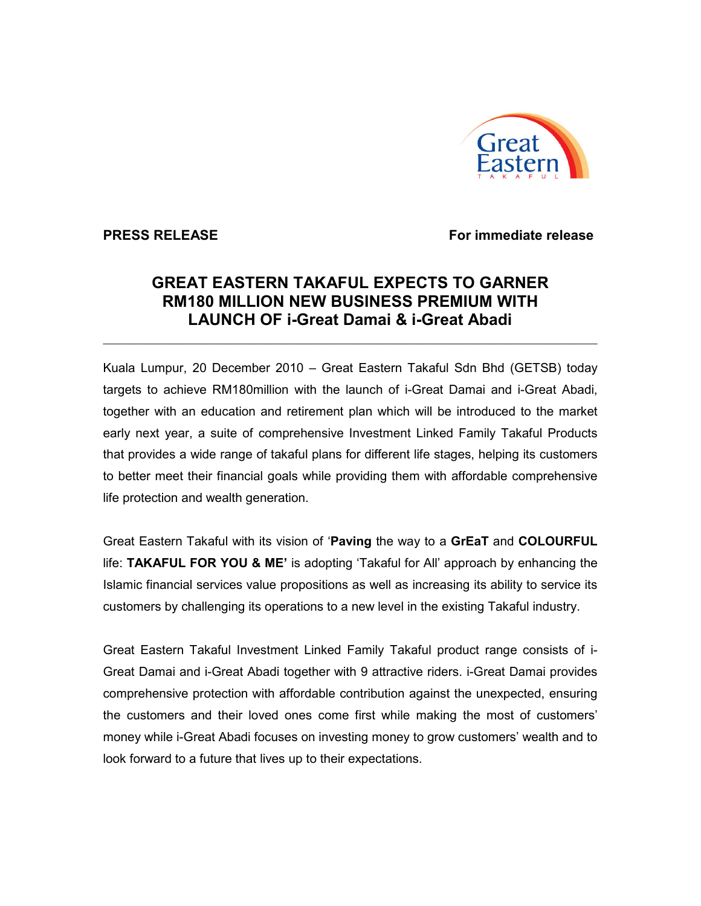

**PRESS RELEASE** For immediate release

## GREAT EASTERN TAKAFUL EXPECTS TO GARNER RM180 MILLION NEW BUSINESS PREMIUM WITH LAUNCH OF i-Great Damai & i-Great Abadi

 $\_$  ,  $\_$  ,  $\_$  ,  $\_$  ,  $\_$  ,  $\_$  ,  $\_$  ,  $\_$  ,  $\_$  ,  $\_$  ,  $\_$  ,  $\_$  ,  $\_$  ,  $\_$  ,  $\_$  ,  $\_$  ,  $\_$  ,  $\_$  ,  $\_$  ,  $\_$  ,  $\_$  ,  $\_$  ,  $\_$  ,  $\_$  ,  $\_$  ,  $\_$  ,  $\_$  ,  $\_$  ,  $\_$  ,  $\_$  ,  $\_$  ,  $\_$  ,  $\_$  ,  $\_$  ,  $\_$  ,  $\_$  ,  $\_$  ,

Kuala Lumpur, 20 December 2010 – Great Eastern Takaful Sdn Bhd (GETSB) today targets to achieve RM180million with the launch of i-Great Damai and i-Great Abadi, together with an education and retirement plan which will be introduced to the market early next year, a suite of comprehensive Investment Linked Family Takaful Products that provides a wide range of takaful plans for different life stages, helping its customers to better meet their financial goals while providing them with affordable comprehensive life protection and wealth generation.

Great Eastern Takaful with its vision of 'Paving the way to a GrEaT and COLOURFUL life: TAKAFUL FOR YOU & ME' is adopting 'Takaful for All' approach by enhancing the Islamic financial services value propositions as well as increasing its ability to service its customers by challenging its operations to a new level in the existing Takaful industry.

Great Eastern Takaful Investment Linked Family Takaful product range consists of i-Great Damai and i-Great Abadi together with 9 attractive riders. i-Great Damai provides comprehensive protection with affordable contribution against the unexpected, ensuring the customers and their loved ones come first while making the most of customers' money while i-Great Abadi focuses on investing money to grow customers' wealth and to look forward to a future that lives up to their expectations.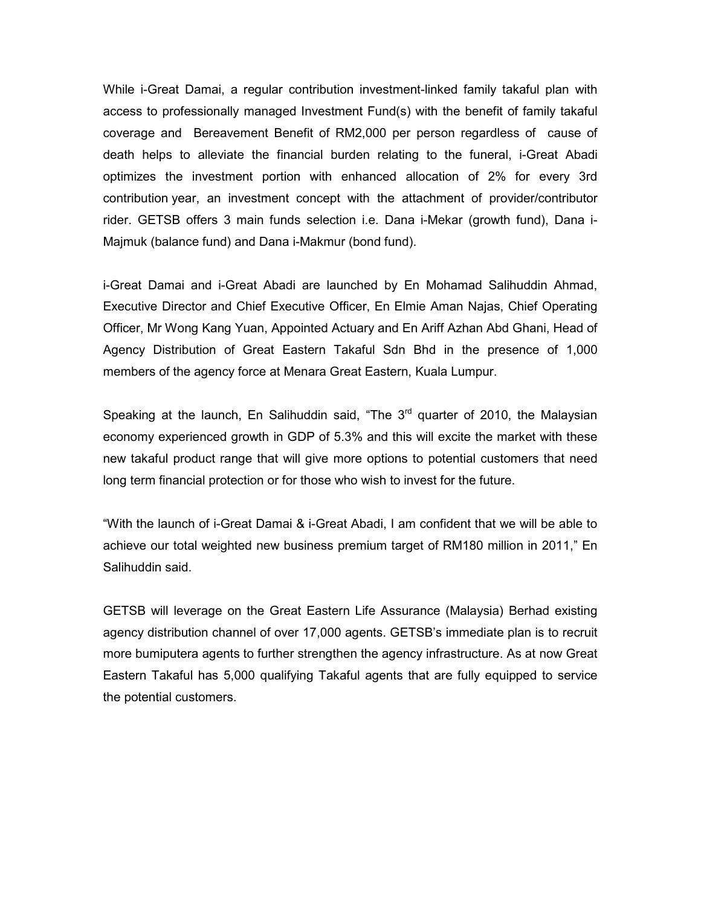While i-Great Damai, a regular contribution investment-linked family takaful plan with access to professionally managed Investment Fund(s) with the benefit of family takaful coverage and Bereavement Benefit of RM2,000 per person regardless of cause of death helps to alleviate the financial burden relating to the funeral, i-Great Abadi optimizes the investment portion with enhanced allocation of 2% for every 3rd contribution year, an investment concept with the attachment of provider/contributor rider. GETSB offers 3 main funds selection i.e. Dana i-Mekar (growth fund), Dana i-Majmuk (balance fund) and Dana i-Makmur (bond fund).

i-Great Damai and i-Great Abadi are launched by En Mohamad Salihuddin Ahmad, Executive Director and Chief Executive Officer, En Elmie Aman Najas, Chief Operating Officer, Mr Wong Kang Yuan, Appointed Actuary and En Ariff Azhan Abd Ghani, Head of Agency Distribution of Great Eastern Takaful Sdn Bhd in the presence of 1,000 members of the agency force at Menara Great Eastern, Kuala Lumpur.

Speaking at the launch, En Salihuddin said, "The  $3<sup>rd</sup>$  quarter of 2010, the Malaysian economy experienced growth in GDP of 5.3% and this will excite the market with these new takaful product range that will give more options to potential customers that need long term financial protection or for those who wish to invest for the future.

"With the launch of i-Great Damai & i-Great Abadi, I am confident that we will be able to achieve our total weighted new business premium target of RM180 million in 2011," En Salihuddin said.

GETSB will leverage on the Great Eastern Life Assurance (Malaysia) Berhad existing agency distribution channel of over 17,000 agents. GETSB's immediate plan is to recruit more bumiputera agents to further strengthen the agency infrastructure. As at now Great Eastern Takaful has 5,000 qualifying Takaful agents that are fully equipped to service the potential customers.